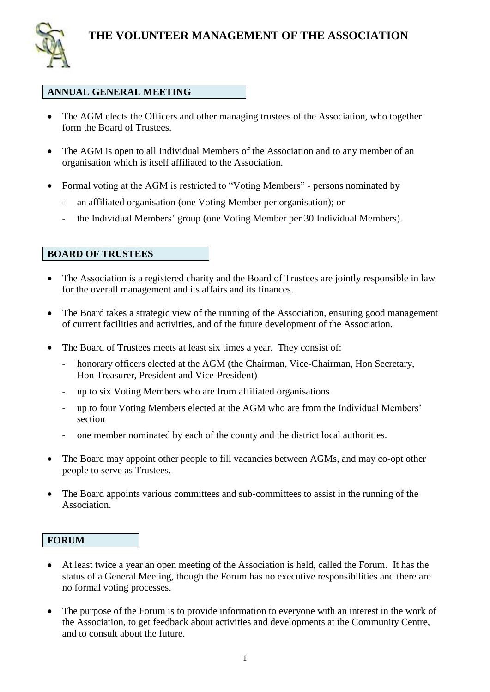

#### **ANNUAL GENERAL MEETING**

- The AGM elects the Officers and other managing trustees of the Association, who together form the Board of Trustees.
- The AGM is open to all Individual Members of the Association and to any member of an organisation which is itself affiliated to the Association.
- Formal voting at the AGM is restricted to "Voting Members" persons nominated by
	- an affiliated organisation (one Voting Member per organisation); or
	- the Individual Members' group (one Voting Member per 30 Individual Members).

### **BOARD OF TRUSTEES**

- The Association is a registered charity and the Board of Trustees are jointly responsible in law for the overall management and its affairs and its finances.
- The Board takes a strategic view of the running of the Association, ensuring good management of current facilities and activities, and of the future development of the Association.
- The Board of Trustees meets at least six times a year. They consist of:
	- honorary officers elected at the AGM (the Chairman, Vice-Chairman, Hon Secretary, Hon Treasurer, President and Vice-President)
	- up to six Voting Members who are from affiliated organisations
	- up to four Voting Members elected at the AGM who are from the Individual Members' section
	- one member nominated by each of the county and the district local authorities.
- The Board may appoint other people to fill vacancies between AGMs, and may co-opt other people to serve as Trustees.
- The Board appoints various committees and sub-committees to assist in the running of the Association.

### **FORUM**

- At least twice a year an open meeting of the Association is held, called the Forum. It has the status of a General Meeting, though the Forum has no executive responsibilities and there are no formal voting processes.
- The purpose of the Forum is to provide information to everyone with an interest in the work of the Association, to get feedback about activities and developments at the Community Centre, and to consult about the future.